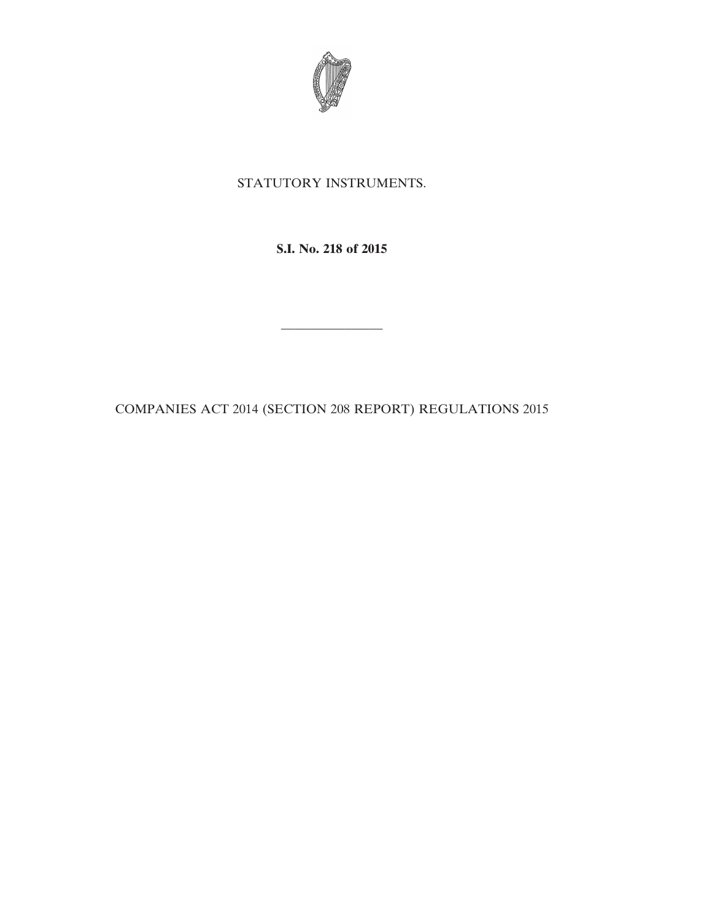

## STATUTORY INSTRUMENTS.

**S.I. No. 218 of 2015**

COMPANIES ACT 2014 (SECTION 208 REPORT) REGULATIONS 2015

————————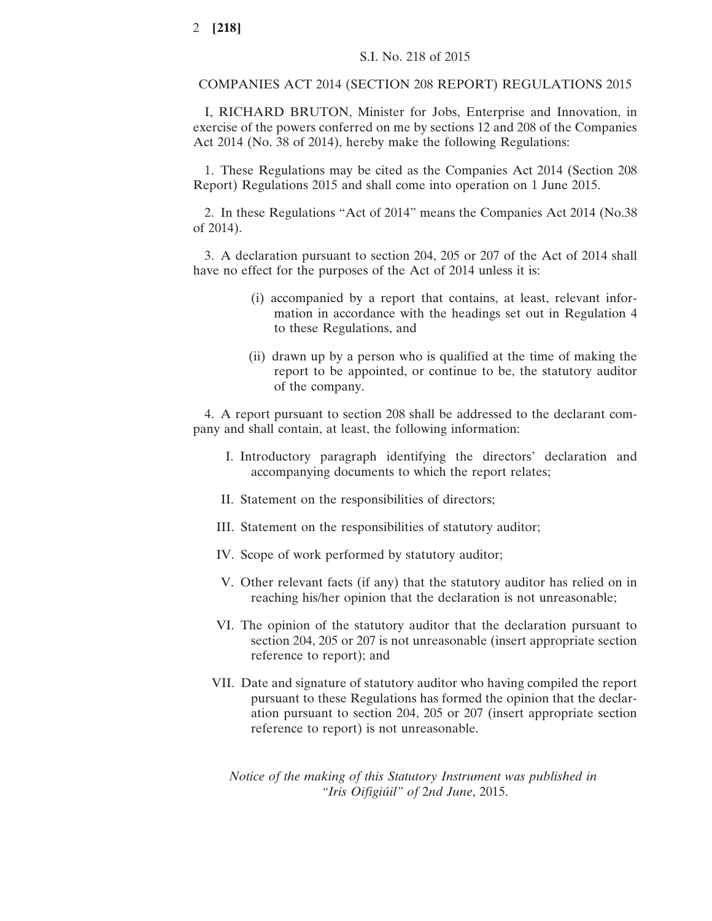COMPANIES ACT 2014 (SECTION 208 REPORT) REGULATIONS 2015

I, RICHARD BRUTON, Minister for Jobs, Enterprise and Innovation, in exercise of the powers conferred on me by sections 12 and 208 of the Companies Act 2014 (No. 38 of 2014), hereby make the following Regulations:

1. These Regulations may be cited as the Companies Act 2014 (Section 208 Report) Regulations 2015 and shall come into operation on 1 June 2015.

2. In these Regulations "Act of 2014" means the Companies Act 2014 (No.38 of 2014).

3. A declaration pursuant to section 204, 205 or 207 of the Act of 2014 shall have no effect for the purposes of the Act of 2014 unless it is:

- (i) accompanied by a report that contains, at least, relevant information in accordance with the headings set out in Regulation 4 to these Regulations, and
- (ii) drawn up by a person who is qualified at the time of making the report to be appointed, or continue to be, the statutory auditor of the company.

4. A report pursuant to section 208 shall be addressed to the declarant company and shall contain, at least, the following information:

- I. Introductory paragraph identifying the directors' declaration and accompanying documents to which the report relates;
- II. Statement on the responsibilities of directors;
- III. Statement on the responsibilities of statutory auditor;
- IV. Scope of work performed by statutory auditor;
- V. Other relevant facts (if any) that the statutory auditor has relied on in reaching his/her opinion that the declaration is not unreasonable;
- VI. The opinion of the statutory auditor that the declaration pursuant to section 204, 205 or 207 is not unreasonable (insert appropriate section reference to report); and
- VII. Date and signature of statutory auditor who having compiled the report pursuant to these Regulations has formed the opinion that the declaration pursuant to section 204, 205 or 207 (insert appropriate section reference to report) is not unreasonable.

*Notice of the making of this Statutory Instrument was published in "Iris Oifigiúil" of* 2*nd June*, 2015.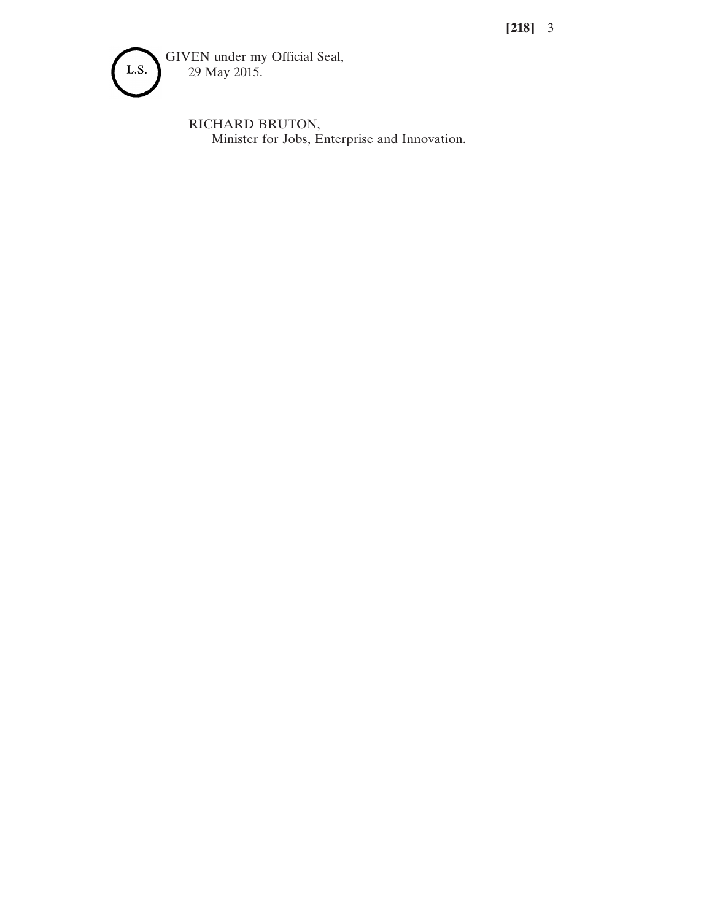**[218]** 3



RICHARD BRUTON, Minister for Jobs, Enterprise and Innovation.